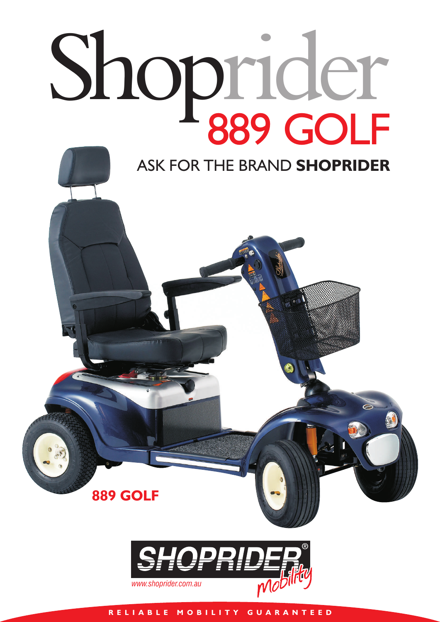

## ASK FOR THE BRAND **SHOPRIDER**

**889 GOLF**